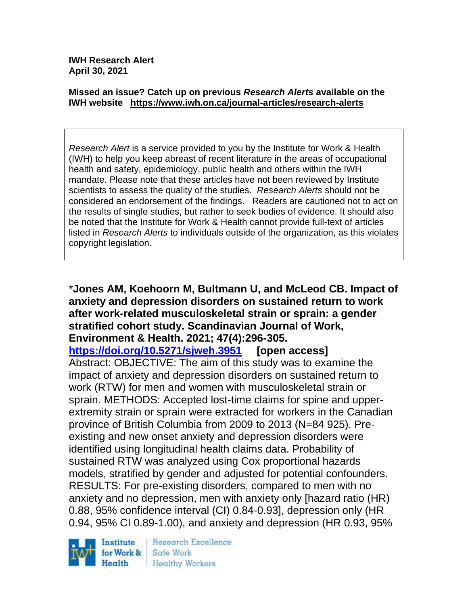**IWH Research Alert April 30, 2021**

#### **Missed an issue? Catch up on previous** *Research Alerts* **available on the [IWH website](http://www.iwh.on.ca/research-alerts) <https://www.iwh.on.ca/journal-articles/research-alerts>**

*Research Alert* is a service provided to you by the Institute for Work & Health (IWH) to help you keep abreast of recent literature in the areas of occupational health and safety, epidemiology, public health and others within the IWH mandate. Please note that these articles have not been reviewed by Institute scientists to assess the quality of the studies. *Research Alerts* should not be considered an endorsement of the findings. Readers are cautioned not to act on the results of single studies, but rather to seek bodies of evidence. It should also be noted that the Institute for Work & Health cannot provide full-text of articles listed in *Research Alerts* to individuals outside of the organization, as this violates copyright legislation.

### \***Jones AM, Koehoorn M, Bultmann U, and McLeod CB. Impact of anxiety and depression disorders on sustained return to work after work-related musculoskeletal strain or sprain: a gender stratified cohort study. Scandinavian Journal of Work, Environment & Health. 2021; 47(4):296-305.**

**<https://doi.org/10.5271/sjweh.3951> [open access]**

Abstract: OBJECTIVE: The aim of this study was to examine the impact of anxiety and depression disorders on sustained return to work (RTW) for men and women with musculoskeletal strain or sprain. METHODS: Accepted lost-time claims for spine and upperextremity strain or sprain were extracted for workers in the Canadian province of British Columbia from 2009 to 2013 (N=84 925). Preexisting and new onset anxiety and depression disorders were identified using longitudinal health claims data. Probability of sustained RTW was analyzed using Cox proportional hazards models, stratified by gender and adjusted for potential confounders. RESULTS: For pre-existing disorders, compared to men with no anxiety and no depression, men with anxiety only [hazard ratio (HR) 0.88, 95% confidence interval (CI) 0.84-0.93], depression only (HR 0.94, 95% CI 0.89-1.00), and anxiety and depression (HR 0.93, 95%



Research Excellence Safe Work Healthy Workers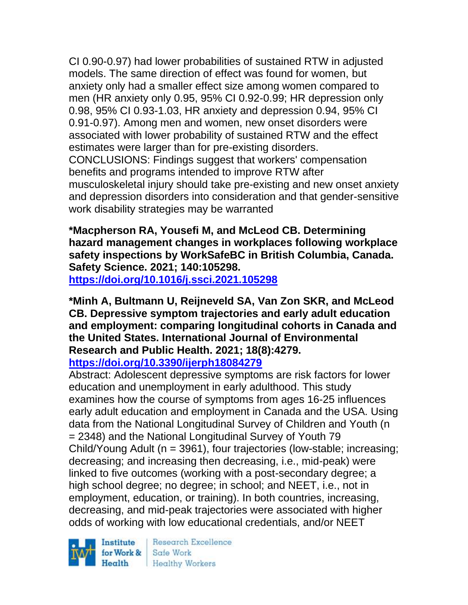CI 0.90-0.97) had lower probabilities of sustained RTW in adjusted models. The same direction of effect was found for women, but anxiety only had a smaller effect size among women compared to men (HR anxiety only 0.95, 95% CI 0.92-0.99; HR depression only 0.98, 95% CI 0.93-1.03, HR anxiety and depression 0.94, 95% CI 0.91-0.97). Among men and women, new onset disorders were associated with lower probability of sustained RTW and the effect estimates were larger than for pre-existing disorders. CONCLUSIONS: Findings suggest that workers' compensation benefits and programs intended to improve RTW after musculoskeletal injury should take pre-existing and new onset anxiety and depression disorders into consideration and that gender-sensitive work disability strategies may be warranted

**\*Macpherson RA, Yousefi M, and McLeod CB. Determining hazard management changes in workplaces following workplace safety inspections by WorkSafeBC in British Columbia, Canada. Safety Science. 2021; 140:105298. <https://doi.org/10.1016/j.ssci.2021.105298>** 

**\*Minh A, Bultmann U, Reijneveld SA, Van Zon SKR, and McLeod CB. Depressive symptom trajectories and early adult education and employment: comparing longitudinal cohorts in Canada and the United States. International Journal of Environmental Research and Public Health. 2021; 18(8):4279. <https://doi.org/10.3390/ijerph18084279>** 

Abstract: Adolescent depressive symptoms are risk factors for lower education and unemployment in early adulthood. This study examines how the course of symptoms from ages 16-25 influences early adult education and employment in Canada and the USA. Using data from the National Longitudinal Survey of Children and Youth (n = 2348) and the National Longitudinal Survey of Youth 79 Child/Young Adult (n = 3961), four trajectories (low-stable; increasing; decreasing; and increasing then decreasing, i.e., mid-peak) were linked to five outcomes (working with a post-secondary degree; a high school degree; no degree; in school; and NEET, i.e., not in employment, education, or training). In both countries, increasing, decreasing, and mid-peak trajectories were associated with higher odds of working with low educational credentials, and/or NEET

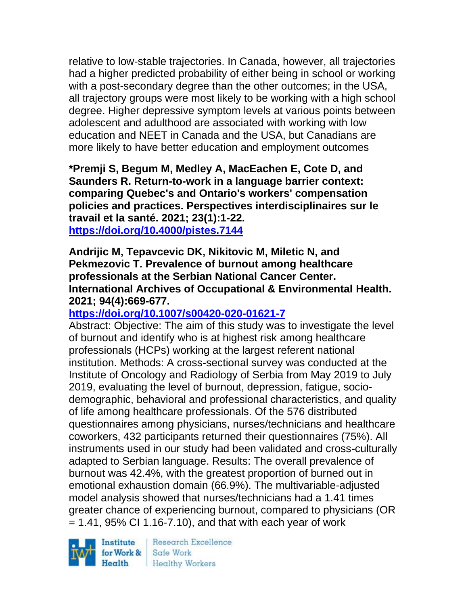relative to low-stable trajectories. In Canada, however, all trajectories had a higher predicted probability of either being in school or working with a post-secondary degree than the other outcomes; in the USA, all trajectory groups were most likely to be working with a high school degree. Higher depressive symptom levels at various points between adolescent and adulthood are associated with working with low education and NEET in Canada and the USA, but Canadians are more likely to have better education and employment outcomes

**\*Premji S, Begum M, Medley A, MacEachen E, Cote D, and Saunders R. Return-to-work in a language barrier context: comparing Quebec's and Ontario's workers' compensation policies and practices. Perspectives interdisciplinaires sur le travail et la santé. 2021; 23(1):1-22. <https://doi.org/10.4000/pistes.7144>** 

#### **Andrijic M, Tepavcevic DK, Nikitovic M, Miletic N, and Pekmezovic T. Prevalence of burnout among healthcare professionals at the Serbian National Cancer Center. International Archives of Occupational & Environmental Health. 2021; 94(4):669-677.**

## **<https://doi.org/10.1007/s00420-020-01621-7>**

Abstract: Objective: The aim of this study was to investigate the level of burnout and identify who is at highest risk among healthcare professionals (HCPs) working at the largest referent national institution. Methods: A cross-sectional survey was conducted at the Institute of Oncology and Radiology of Serbia from May 2019 to July 2019, evaluating the level of burnout, depression, fatigue, sociodemographic, behavioral and professional characteristics, and quality of life among healthcare professionals. Of the 576 distributed questionnaires among physicians, nurses/technicians and healthcare coworkers, 432 participants returned their questionnaires (75%). All instruments used in our study had been validated and cross-culturally adapted to Serbian language. Results: The overall prevalence of burnout was 42.4%, with the greatest proportion of burned out in emotional exhaustion domain (66.9%). The multivariable-adjusted model analysis showed that nurses/technicians had a 1.41 times greater chance of experiencing burnout, compared to physicians (OR  $= 1.41$ , 95% CI 1.16-7.10), and that with each year of work

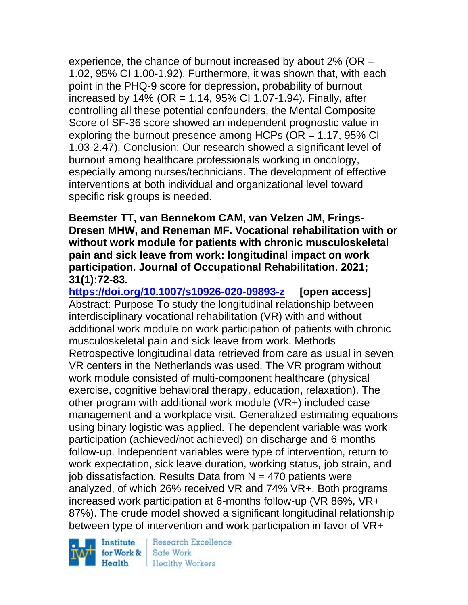experience, the chance of burnout increased by about  $2\%$  (OR = 1.02, 95% CI 1.00-1.92). Furthermore, it was shown that, with each point in the PHQ-9 score for depression, probability of burnout increased by 14% (OR = 1.14, 95% CI 1.07-1.94). Finally, after controlling all these potential confounders, the Mental Composite Score of SF-36 score showed an independent prognostic value in exploring the burnout presence among HCPs ( $OR = 1.17$ , 95% CI 1.03-2.47). Conclusion: Our research showed a significant level of burnout among healthcare professionals working in oncology, especially among nurses/technicians. The development of effective interventions at both individual and organizational level toward specific risk groups is needed.

**Beemster TT, van Bennekom CAM, van Velzen JM, Frings-Dresen MHW, and Reneman MF. Vocational rehabilitation with or without work module for patients with chronic musculoskeletal pain and sick leave from work: longitudinal impact on work participation. Journal of Occupational Rehabilitation. 2021; 31(1):72-83.** 

**<https://doi.org/10.1007/s10926-020-09893-z> [open access]** Abstract: Purpose To study the longitudinal relationship between interdisciplinary vocational rehabilitation (VR) with and without additional work module on work participation of patients with chronic musculoskeletal pain and sick leave from work. Methods Retrospective longitudinal data retrieved from care as usual in seven VR centers in the Netherlands was used. The VR program without work module consisted of multi-component healthcare (physical exercise, cognitive behavioral therapy, education, relaxation). The other program with additional work module (VR+) included case management and a workplace visit. Generalized estimating equations using binary logistic was applied. The dependent variable was work participation (achieved/not achieved) on discharge and 6-months follow-up. Independent variables were type of intervention, return to work expectation, sick leave duration, working status, job strain, and job dissatisfaction. Results Data from  $N = 470$  patients were analyzed, of which 26% received VR and 74% VR+. Both programs increased work participation at 6-months follow-up (VR 86%, VR+ 87%). The crude model showed a significant longitudinal relationship between type of intervention and work participation in favor of VR+

Institute Health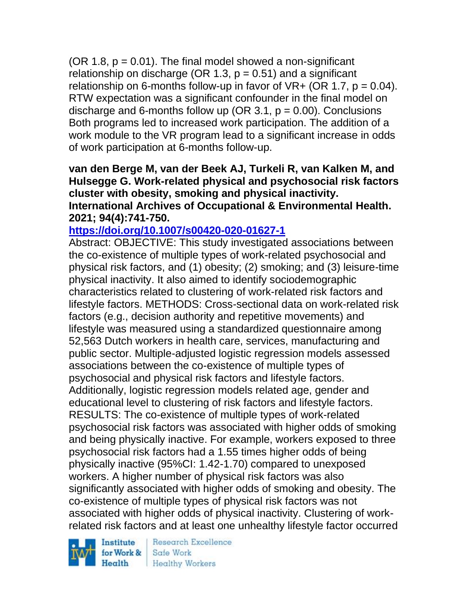$(OR 1.8, p = 0.01)$ . The final model showed a non-significant relationship on discharge (OR 1.3,  $p = 0.51$ ) and a significant relationship on 6-months follow-up in favor of  $VR+$  (OR 1.7,  $p = 0.04$ ). RTW expectation was a significant confounder in the final model on discharge and 6-months follow up (OR 3.1,  $p = 0.00$ ). Conclusions Both programs led to increased work participation. The addition of a work module to the VR program lead to a significant increase in odds of work participation at 6-months follow-up.

**van den Berge M, van der Beek AJ, Turkeli R, van Kalken M, and Hulsegge G. Work-related physical and psychosocial risk factors cluster with obesity, smoking and physical inactivity. International Archives of Occupational & Environmental Health. 2021; 94(4):741-750.** 

## **<https://doi.org/10.1007/s00420-020-01627-1>**

Abstract: OBJECTIVE: This study investigated associations between the co-existence of multiple types of work-related psychosocial and physical risk factors, and (1) obesity; (2) smoking; and (3) leisure-time physical inactivity. It also aimed to identify sociodemographic characteristics related to clustering of work-related risk factors and lifestyle factors. METHODS: Cross-sectional data on work-related risk factors (e.g., decision authority and repetitive movements) and lifestyle was measured using a standardized questionnaire among 52,563 Dutch workers in health care, services, manufacturing and public sector. Multiple-adjusted logistic regression models assessed associations between the co-existence of multiple types of psychosocial and physical risk factors and lifestyle factors. Additionally, logistic regression models related age, gender and educational level to clustering of risk factors and lifestyle factors. RESULTS: The co-existence of multiple types of work-related psychosocial risk factors was associated with higher odds of smoking and being physically inactive. For example, workers exposed to three psychosocial risk factors had a 1.55 times higher odds of being physically inactive (95%CI: 1.42-1.70) compared to unexposed workers. A higher number of physical risk factors was also significantly associated with higher odds of smoking and obesity. The co-existence of multiple types of physical risk factors was not associated with higher odds of physical inactivity. Clustering of workrelated risk factors and at least one unhealthy lifestyle factor occurred

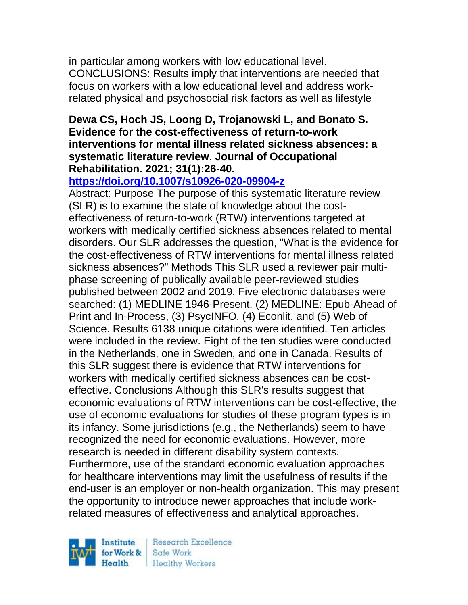in particular among workers with low educational level. CONCLUSIONS: Results imply that interventions are needed that focus on workers with a low educational level and address workrelated physical and psychosocial risk factors as well as lifestyle

#### **Dewa CS, Hoch JS, Loong D, Trojanowski L, and Bonato S. Evidence for the cost-effectiveness of return-to-work interventions for mental illness related sickness absences: a systematic literature review. Journal of Occupational Rehabilitation. 2021; 31(1):26-40.**

### **<https://doi.org/10.1007/s10926-020-09904-z>**

Abstract: Purpose The purpose of this systematic literature review (SLR) is to examine the state of knowledge about the costeffectiveness of return-to-work (RTW) interventions targeted at workers with medically certified sickness absences related to mental disorders. Our SLR addresses the question, "What is the evidence for the cost-effectiveness of RTW interventions for mental illness related sickness absences?" Methods This SLR used a reviewer pair multiphase screening of publically available peer-reviewed studies published between 2002 and 2019. Five electronic databases were searched: (1) MEDLINE 1946-Present, (2) MEDLINE: Epub-Ahead of Print and In-Process, (3) PsycINFO, (4) Econlit, and (5) Web of Science. Results 6138 unique citations were identified. Ten articles were included in the review. Eight of the ten studies were conducted in the Netherlands, one in Sweden, and one in Canada. Results of this SLR suggest there is evidence that RTW interventions for workers with medically certified sickness absences can be costeffective. Conclusions Although this SLR's results suggest that economic evaluations of RTW interventions can be cost-effective, the use of economic evaluations for studies of these program types is in its infancy. Some jurisdictions (e.g., the Netherlands) seem to have recognized the need for economic evaluations. However, more research is needed in different disability system contexts. Furthermore, use of the standard economic evaluation approaches for healthcare interventions may limit the usefulness of results if the end-user is an employer or non-health organization. This may present the opportunity to introduce newer approaches that include workrelated measures of effectiveness and analytical approaches.

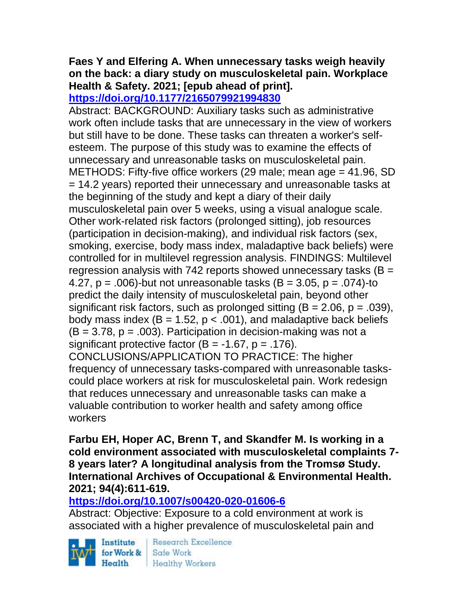# **Faes Y and Elfering A. When unnecessary tasks weigh heavily on the back: a diary study on musculoskeletal pain. Workplace Health & Safety. 2021; [epub ahead of print].**

**<https://doi.org/10.1177/2165079921994830>** 

Abstract: BACKGROUND: Auxiliary tasks such as administrative work often include tasks that are unnecessary in the view of workers but still have to be done. These tasks can threaten a worker's selfesteem. The purpose of this study was to examine the effects of unnecessary and unreasonable tasks on musculoskeletal pain. METHODS: Fifty-five office workers (29 male; mean age = 41.96, SD = 14.2 years) reported their unnecessary and unreasonable tasks at the beginning of the study and kept a diary of their daily musculoskeletal pain over 5 weeks, using a visual analogue scale. Other work-related risk factors (prolonged sitting), job resources (participation in decision-making), and individual risk factors (sex, smoking, exercise, body mass index, maladaptive back beliefs) were controlled for in multilevel regression analysis. FINDINGS: Multilevel regression analysis with 742 reports showed unnecessary tasks ( $B =$ 4.27,  $p = .006$ )-but not unreasonable tasks (B = 3.05,  $p = .074$ )-to predict the daily intensity of musculoskeletal pain, beyond other significant risk factors, such as prolonged sitting  $(B = 2.06, p = .039)$ , body mass index ( $B = 1.52$ ,  $p < .001$ ), and maladaptive back beliefs  $(B = 3.78, p = .003)$ . Participation in decision-making was not a significant protective factor  $(B = -1.67, p = .176)$ . CONCLUSIONS/APPLICATION TO PRACTICE: The higher frequency of unnecessary tasks-compared with unreasonable taskscould place workers at risk for musculoskeletal pain. Work redesign that reduces unnecessary and unreasonable tasks can make a valuable contribution to worker health and safety among office workers

**Farbu EH, Hoper AC, Brenn T, and Skandfer M. Is working in a cold environment associated with musculoskeletal complaints 7- 8 years later? A longitudinal analysis from the Tromsø Study. International Archives of Occupational & Environmental Health. 2021; 94(4):611-619.** 

## **<https://doi.org/10.1007/s00420-020-01606-6>**

Abstract: Objective: Exposure to a cold environment at work is associated with a higher prevalence of musculoskeletal pain and

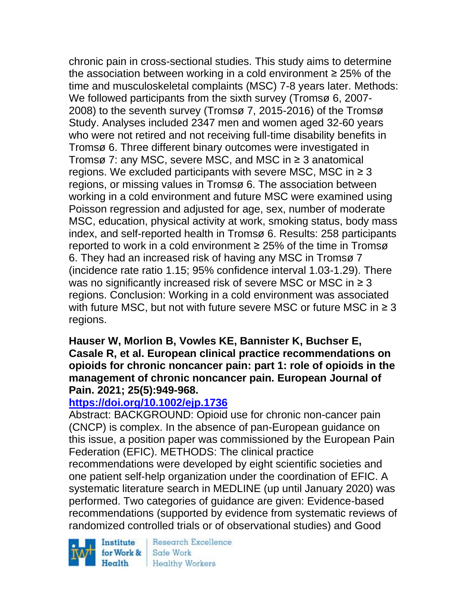chronic pain in cross-sectional studies. This study aims to determine the association between working in a cold environment  $\geq$  25% of the time and musculoskeletal complaints (MSC) 7-8 years later. Methods: We followed participants from the sixth survey (Tromsø 6, 2007- 2008) to the seventh survey (Tromsø 7, 2015-2016) of the Tromsø Study. Analyses included 2347 men and women aged 32-60 years who were not retired and not receiving full-time disability benefits in Tromsø 6. Three different binary outcomes were investigated in Tromsø 7: any MSC, severe MSC, and MSC in ≥ 3 anatomical regions. We excluded participants with severe MSC, MSC in  $\geq$  3 regions, or missing values in Tromsø 6. The association between working in a cold environment and future MSC were examined using Poisson regression and adjusted for age, sex, number of moderate MSC, education, physical activity at work, smoking status, body mass index, and self-reported health in Tromsø 6. Results: 258 participants reported to work in a cold environment ≥ 25% of the time in Tromsø 6. They had an increased risk of having any MSC in Tromsø 7 (incidence rate ratio 1.15; 95% confidence interval 1.03-1.29). There was no significantly increased risk of severe MSC or MSC in  $\geq$  3 regions. Conclusion: Working in a cold environment was associated with future MSC, but not with future severe MSC or future MSC in  $\geq 3$ regions.

#### **Hauser W, Morlion B, Vowles KE, Bannister K, Buchser E, Casale R, et al. European clinical practice recommendations on opioids for chronic noncancer pain: part 1: role of opioids in the management of chronic noncancer pain. European Journal of Pain. 2021; 25(5):949-968.**

# **<https://doi.org/10.1002/ejp.1736>**

Abstract: BACKGROUND: Opioid use for chronic non-cancer pain (CNCP) is complex. In the absence of pan-European guidance on this issue, a position paper was commissioned by the European Pain Federation (EFIC). METHODS: The clinical practice

recommendations were developed by eight scientific societies and one patient self-help organization under the coordination of EFIC. A systematic literature search in MEDLINE (up until January 2020) was performed. Two categories of guidance are given: Evidence-based recommendations (supported by evidence from systematic reviews of randomized controlled trials or of observational studies) and Good

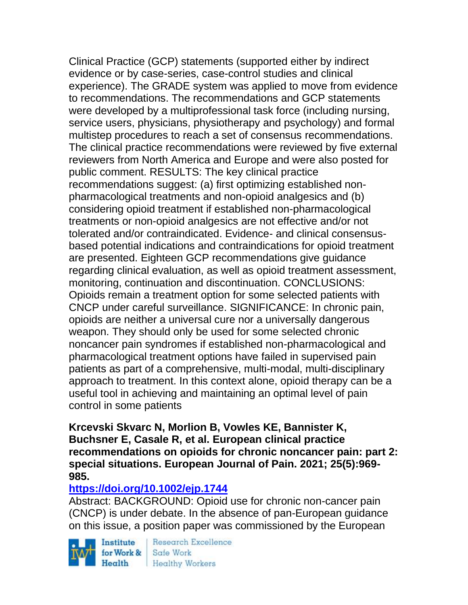Clinical Practice (GCP) statements (supported either by indirect evidence or by case-series, case-control studies and clinical experience). The GRADE system was applied to move from evidence to recommendations. The recommendations and GCP statements were developed by a multiprofessional task force (including nursing, service users, physicians, physiotherapy and psychology) and formal multistep procedures to reach a set of consensus recommendations. The clinical practice recommendations were reviewed by five external reviewers from North America and Europe and were also posted for public comment. RESULTS: The key clinical practice recommendations suggest: (a) first optimizing established nonpharmacological treatments and non-opioid analgesics and (b) considering opioid treatment if established non-pharmacological treatments or non-opioid analgesics are not effective and/or not tolerated and/or contraindicated. Evidence- and clinical consensusbased potential indications and contraindications for opioid treatment are presented. Eighteen GCP recommendations give guidance regarding clinical evaluation, as well as opioid treatment assessment, monitoring, continuation and discontinuation. CONCLUSIONS: Opioids remain a treatment option for some selected patients with CNCP under careful surveillance. SIGNIFICANCE: In chronic pain, opioids are neither a universal cure nor a universally dangerous weapon. They should only be used for some selected chronic noncancer pain syndromes if established non-pharmacological and pharmacological treatment options have failed in supervised pain patients as part of a comprehensive, multi-modal, multi-disciplinary approach to treatment. In this context alone, opioid therapy can be a useful tool in achieving and maintaining an optimal level of pain control in some patients

#### **Krcevski Skvarc N, Morlion B, Vowles KE, Bannister K, Buchsner E, Casale R, et al. European clinical practice recommendations on opioids for chronic noncancer pain: part 2: special situations. European Journal of Pain. 2021; 25(5):969- 985.**

## **<https://doi.org/10.1002/ejp.1744>**

Abstract: BACKGROUND: Opioid use for chronic non-cancer pain (CNCP) is under debate. In the absence of pan-European guidance on this issue, a position paper was commissioned by the European

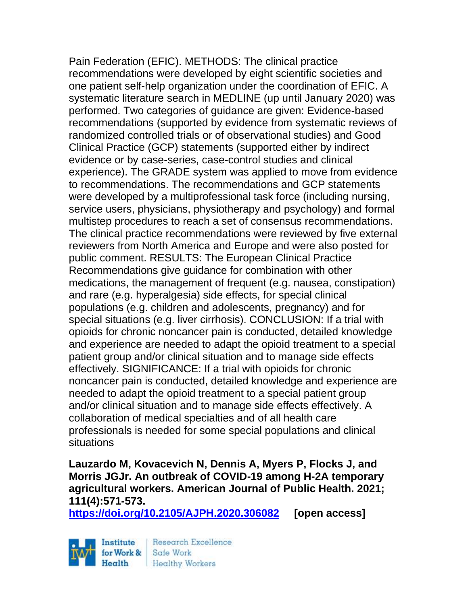Pain Federation (EFIC). METHODS: The clinical practice recommendations were developed by eight scientific societies and one patient self-help organization under the coordination of EFIC. A systematic literature search in MEDLINE (up until January 2020) was performed. Two categories of guidance are given: Evidence-based recommendations (supported by evidence from systematic reviews of randomized controlled trials or of observational studies) and Good Clinical Practice (GCP) statements (supported either by indirect evidence or by case-series, case-control studies and clinical experience). The GRADE system was applied to move from evidence to recommendations. The recommendations and GCP statements were developed by a multiprofessional task force (including nursing, service users, physicians, physiotherapy and psychology) and formal multistep procedures to reach a set of consensus recommendations. The clinical practice recommendations were reviewed by five external reviewers from North America and Europe and were also posted for public comment. RESULTS: The European Clinical Practice Recommendations give guidance for combination with other medications, the management of frequent (e.g. nausea, constipation) and rare (e.g. hyperalgesia) side effects, for special clinical populations (e.g. children and adolescents, pregnancy) and for special situations (e.g. liver cirrhosis). CONCLUSION: If a trial with opioids for chronic noncancer pain is conducted, detailed knowledge and experience are needed to adapt the opioid treatment to a special patient group and/or clinical situation and to manage side effects effectively. SIGNIFICANCE: If a trial with opioids for chronic noncancer pain is conducted, detailed knowledge and experience are needed to adapt the opioid treatment to a special patient group and/or clinical situation and to manage side effects effectively. A collaboration of medical specialties and of all health care professionals is needed for some special populations and clinical situations

**Lauzardo M, Kovacevich N, Dennis A, Myers P, Flocks J, and Morris JGJr. An outbreak of COVID-19 among H-2A temporary agricultural workers. American Journal of Public Health. 2021; 111(4):571-573.** 

**<https://doi.org/10.2105/AJPH.2020.306082> [open access]**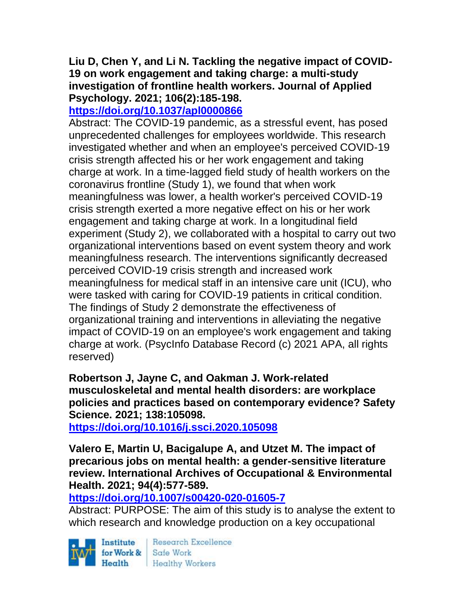## **Liu D, Chen Y, and Li N. Tackling the negative impact of COVID-19 on work engagement and taking charge: a multi-study investigation of frontline health workers. Journal of Applied Psychology. 2021; 106(2):185-198.**

# **<https://doi.org/10.1037/apl0000866>**

Abstract: The COVID-19 pandemic, as a stressful event, has posed unprecedented challenges for employees worldwide. This research investigated whether and when an employee's perceived COVID-19 crisis strength affected his or her work engagement and taking charge at work. In a time-lagged field study of health workers on the coronavirus frontline (Study 1), we found that when work meaningfulness was lower, a health worker's perceived COVID-19 crisis strength exerted a more negative effect on his or her work engagement and taking charge at work. In a longitudinal field experiment (Study 2), we collaborated with a hospital to carry out two organizational interventions based on event system theory and work meaningfulness research. The interventions significantly decreased perceived COVID-19 crisis strength and increased work meaningfulness for medical staff in an intensive care unit (ICU), who were tasked with caring for COVID-19 patients in critical condition. The findings of Study 2 demonstrate the effectiveness of organizational training and interventions in alleviating the negative impact of COVID-19 on an employee's work engagement and taking charge at work. (PsycInfo Database Record (c) 2021 APA, all rights reserved)

**Robertson J, Jayne C, and Oakman J. Work-related musculoskeletal and mental health disorders: are workplace policies and practices based on contemporary evidence? Safety Science. 2021; 138:105098.**

**<https://doi.org/10.1016/j.ssci.2020.105098>** 

**Valero E, Martin U, Bacigalupe A, and Utzet M. The impact of precarious jobs on mental health: a gender-sensitive literature review. International Archives of Occupational & Environmental Health. 2021; 94(4):577-589.** 

### **<https://doi.org/10.1007/s00420-020-01605-7>**

Abstract: PURPOSE: The aim of this study is to analyse the extent to which research and knowledge production on a key occupational

Institute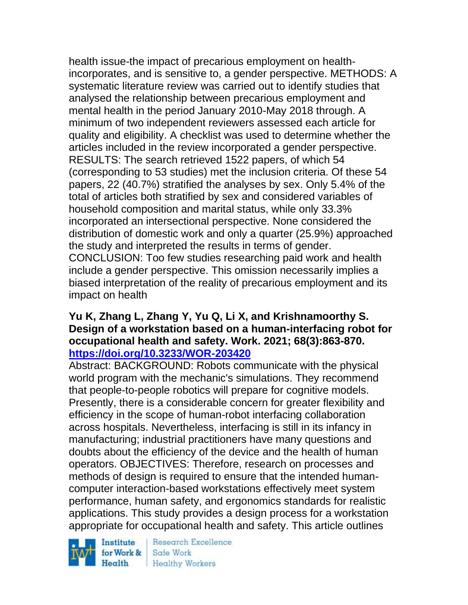health issue-the impact of precarious employment on healthincorporates, and is sensitive to, a gender perspective. METHODS: A systematic literature review was carried out to identify studies that analysed the relationship between precarious employment and mental health in the period January 2010-May 2018 through. A minimum of two independent reviewers assessed each article for quality and eligibility. A checklist was used to determine whether the articles included in the review incorporated a gender perspective. RESULTS: The search retrieved 1522 papers, of which 54 (corresponding to 53 studies) met the inclusion criteria. Of these 54 papers, 22 (40.7%) stratified the analyses by sex. Only 5.4% of the total of articles both stratified by sex and considered variables of household composition and marital status, while only 33.3% incorporated an intersectional perspective. None considered the distribution of domestic work and only a quarter (25.9%) approached the study and interpreted the results in terms of gender. CONCLUSION: Too few studies researching paid work and health include a gender perspective. This omission necessarily implies a biased interpretation of the reality of precarious employment and its impact on health

#### **Yu K, Zhang L, Zhang Y, Yu Q, Li X, and Krishnamoorthy S. Design of a workstation based on a human-interfacing robot for occupational health and safety. Work. 2021; 68(3):863-870. <https://doi.org/10.3233/WOR-203420>**

Abstract: BACKGROUND: Robots communicate with the physical world program with the mechanic's simulations. They recommend that people-to-people robotics will prepare for cognitive models. Presently, there is a considerable concern for greater flexibility and efficiency in the scope of human-robot interfacing collaboration across hospitals. Nevertheless, interfacing is still in its infancy in manufacturing; industrial practitioners have many questions and doubts about the efficiency of the device and the health of human operators. OBJECTIVES: Therefore, research on processes and methods of design is required to ensure that the intended humancomputer interaction-based workstations effectively meet system performance, human safety, and ergonomics standards for realistic applications. This study provides a design process for a workstation appropriate for occupational health and safety. This article outlines